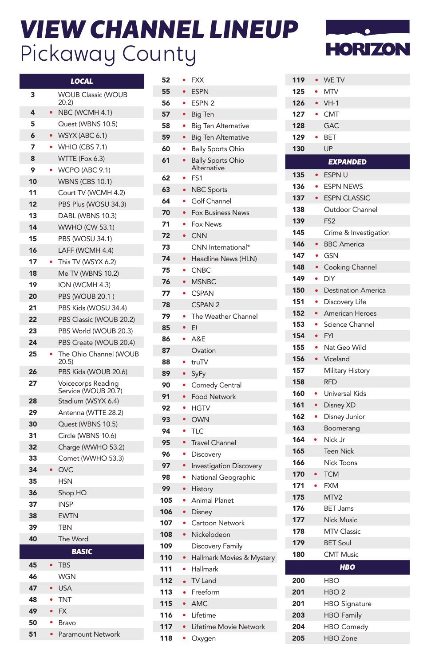## *VIEW CHANNEL LINEUP* Pickaway County

a l



|    |           | <b>LOCAL</b>                              |
|----|-----------|-------------------------------------------|
| 3  |           | <b>WOUB Classic (WOUB</b><br>20.2         |
| 4  |           | NBC (WCMH 4.1)                            |
| 5  |           | Quest (WBNS 10.5)                         |
| 6  | $\bullet$ | WSYX (ABC 6.1)                            |
| 7  | ۰         | <b>WHIO (CBS 7.1)</b>                     |
| 8  |           | WTTE (Fox 6.3)                            |
| 9  |           | <b>WCPO (ABC 9.1)</b>                     |
| 10 |           | <b>WBNS (CBS 10.1)</b>                    |
| 11 |           | Court TV (WCMH 4.2)                       |
| 12 |           | PBS Plus (WOSU 34.3)                      |
| 13 |           | DABL (WBNS 10.3)                          |
| 14 |           | <b>WWHO (CW 53.1)</b>                     |
| 15 |           | PBS (WOSU 34.1)                           |
| 16 |           | LAFF (WCMH 4.4)                           |
| 17 |           | This TV (WSYX 6.2)                        |
| 18 |           | Me TV (WBNS 10.2)                         |
| 19 |           | ION (WCMH 4.3)                            |
| 20 |           | PBS (WOUB 20.1)                           |
| 21 |           | PBS Kids (WOSU 34.4)                      |
| 22 |           | PBS Classic (WOUB 20.2)                   |
| 23 |           | PBS World (WOUB 20.3)                     |
| 24 |           | PBS Create (WOUB 20.4)                    |
| 25 |           | The Ohio Channel (WOUB<br>20.5            |
| 26 |           | PBS Kids (WOUB 20.6)                      |
| 27 |           | Voicecorps Reading<br>Service (WOUB 20.7) |
| 28 |           | Stadium (WSYX 6.4)                        |
| 29 |           | Antenna (WTTE 28.2)                       |
| 30 |           | Quest (WBNS 10.5)                         |
| 31 |           | Circle (WBNS 10.6)                        |
| 32 |           | Charge (WWHO 53.2)                        |
| 33 |           | Comet (WWHO 53.3)                         |
| 34 |           | QVC                                       |
| 35 |           | <b>HSN</b>                                |
| 36 |           | Shop HQ                                   |
| 37 |           | <b>INSP</b>                               |
| 38 |           | <b>EWTN</b>                               |
| 39 |           | <b>TRN</b>                                |
| 40 |           | The Word                                  |
|    |           | <b>BASIC</b>                              |
| 45 | $\bullet$ | <b>TBS</b>                                |
| 46 |           | <b>WGN</b>                                |
| 47 |           | <b>USA</b>                                |
| 48 |           | <b>TNT</b>                                |
| 49 | ÷         | <b>FX</b>                                 |
| 50 |           | Bravo                                     |
| 51 | ٠         | Paramount Network                         |

| 52  |           | <b>FXX</b>                              |
|-----|-----------|-----------------------------------------|
| 55  | $\bullet$ | <b>ESPN</b>                             |
| 56  |           | ESPN <sub>2</sub>                       |
| 57  | $\bullet$ | <b>Big Ten</b>                          |
| 58  | ٠         | <b>Big Ten Alternative</b>              |
| 59  |           | <b>Big Ten Alternative</b>              |
| 60  | ò         | <b>Bally Sports Ohio</b>                |
| 61  |           | <b>Bally Sports Ohio</b><br>Alternative |
| 62  | ė         | FS <sub>1</sub>                         |
| 63  |           | <b>NBC Sports</b>                       |
| 64  | $\bullet$ | Golf Channel                            |
| 70  | $\bullet$ | <b>Fox Business News</b>                |
| 71  | ä         | Fox News                                |
| 72  | $\bullet$ | <b>CNN</b>                              |
| 73  |           | CNN International*                      |
| 74  | $\bullet$ | Headline News (HLN)                     |
| 75  |           | <b>CNBC</b>                             |
| 76  | $\bullet$ | <b>MSNBC</b>                            |
| 77  | ۰         | <b>CSPAN</b>                            |
| 78  |           | CSPAN <sub>2</sub>                      |
| 79  |           | The Weather Channel                     |
| 85  | $\bullet$ | E!                                      |
| 86  | ۰         | A&E                                     |
| 87  |           | Ovation                                 |
| 88  |           | truTV                                   |
| 89  | $\bullet$ | SyFy                                    |
| 90  |           | Comedy Central                          |
| 91  |           | <b>Food Network</b>                     |
| 92  |           | <b>HGTV</b>                             |
| 93  |           | <b>OWN</b>                              |
| 94  | ۰         | <b>TLC</b>                              |
| 95  | $\bullet$ | <b>Travel Channel</b>                   |
| 96  | $\bullet$ | Discovery                               |
| 97  | $\bullet$ | <b>Investigation Discovery</b>          |
| 98  | ۰         | National Geographic                     |
| 99  | ۰         | History                                 |
| 105 |           | <b>Animal Planet</b>                    |
| 106 | $\bullet$ | Disney                                  |
| 107 | ۰         | Cartoon Network                         |
| 108 | $\bullet$ | Nickelodeon                             |
| 109 |           | Discovery Family                        |
| 110 |           |                                         |
| 111 | $\bullet$ | Hallmark Movies & Mystery<br>Hallmark   |
|     |           | <b>TV Land</b>                          |
| 112 | $\bullet$ |                                         |
| 113 | $\bullet$ | Freeform                                |
| 115 | $\bullet$ | <b>AMC</b>                              |
| 116 | $\bullet$ | Lifetime                                |
| 117 | $\bullet$ | Lifetime Movie Network                  |
| 118 | ä         | Oxygen                                  |

| 119 |           | $\bullet$ WE TV            |
|-----|-----------|----------------------------|
| 125 |           | $\bullet$ MTV              |
| 126 |           | $\bullet$ VH-1             |
| 127 |           | • CMT                      |
| 128 |           | <b>GAC</b>                 |
| 129 | ۰         | <b>BET</b>                 |
| 130 |           | <b>UP</b>                  |
|     |           | <b>EXPANDED</b>            |
| 135 |           | • ESPN U                   |
| 136 | ۰         | <b>ESPN NEWS</b>           |
| 137 | $\bullet$ | <b>ESPN CLASSIC</b>        |
| 138 |           | Outdoor Channel            |
| 139 |           | FS <sub>2</sub>            |
| 145 |           | Crime & Investigation      |
| 146 | $\bullet$ | <b>BBC</b> America         |
| 147 | ۰         | GSN                        |
| 148 | $\bullet$ | Cooking Channel            |
| 149 | $\bullet$ | <b>DIY</b>                 |
| 150 | $\bullet$ | <b>Destination America</b> |
| 151 | ۰         | Discovery Life             |
| 152 | $\bullet$ | American Heroes            |
| 153 | $\bullet$ | Science Channel            |
| 154 |           | <b>FYI</b>                 |
| 155 | $\bullet$ | Nat Geo Wild               |
| 156 | $\bullet$ | Viceland                   |
| 157 |           | <b>Military History</b>    |
| 158 |           | <b>RFD</b>                 |
| 160 |           | Universal Kids             |
| 161 |           | Disney XD                  |
| 162 | $\bullet$ | Disney Junior              |
| 163 |           | Boomerang                  |
| 164 | ٠         | Nick Jr                    |
| 165 |           | <b>Teen Nick</b>           |
| 166 |           | Nick Toons                 |
| 170 | $\bullet$ | <b>TCM</b>                 |
| 171 | $\bullet$ | <b>FXM</b>                 |
| 175 |           | MTV2                       |
| 176 |           | <b>BET Jams</b>            |
| 177 |           | Nick Music                 |
| 178 |           | <b>MTV Classic</b>         |
| 179 |           | <b>BET Soul</b>            |
| 180 |           | <b>CMT Music</b>           |
|     |           | <b>HBO</b>                 |
| 200 |           | HBO                        |
| 201 |           | HBO <sub>2</sub>           |
| 201 |           | <b>HBO Signature</b>       |
| 203 |           | <b>HBO Family</b>          |
| 204 |           | <b>HBO Comedy</b>          |
| 205 |           | <b>HBO</b> Zone            |